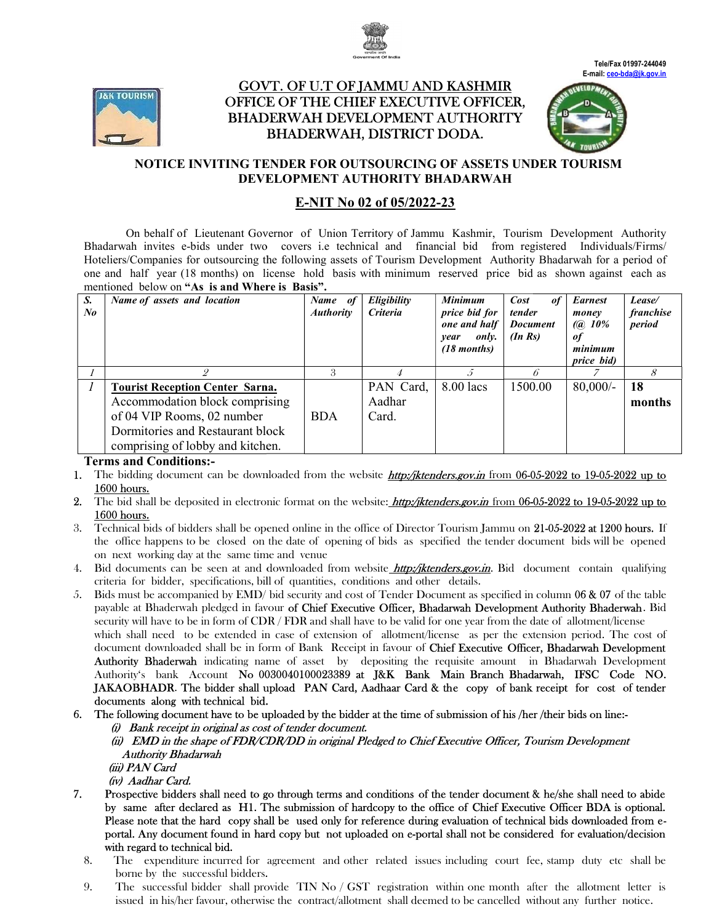



# <u>GOVT. OF U.T OF JAMMU AND KASHMIR</u> OFFICE OF THE CHIEF EXECUTIVE OFFICER, OFFICER, BHADERWAH DEVELOPMENT AUTHORITY BHADERWAH, DISTRICT DODA.





## NOTICE INVITING TENDER FOR OUTSOURCING OF ASSETS UNDER TOURISM DEVELOPMENT AUTHORITY BHADARWAH

# E-NIT No 02 of 05/2022-23

On behalf of Lieutenant Governor of Union Territory of Jammu Kashmir, Tourism Tourism Development Authority Bhadarwah invites e-bids under two covers i.e technical and financial bid from registered Individuals/Firms/ Hoteliers/Companies for outsourcing the following assets of Tourism Development Authority Bhadarwah for a period of one and half year (18 months) on license hold basis with minimum reserved price bid as shown against each as mentioned below on "As is and Where is Basis".

| S.<br>$N\bm{o}$ | Name of assets and location            | Name of<br><b>Authority</b> | Eligibility<br><i>Criteria</i> | <b>Minimum</b><br>price bid for<br>one and half<br>only.<br>vear<br>$(18$ months) | Cost<br>ot<br>tender<br><b>Document</b><br>$(In\, Rs)$ | <b>Earnest</b><br>money<br>$(Q\ 10\%)$<br>of<br>minimum<br>price bid) | Lease/<br>franchise<br>period |
|-----------------|----------------------------------------|-----------------------------|--------------------------------|-----------------------------------------------------------------------------------|--------------------------------------------------------|-----------------------------------------------------------------------|-------------------------------|
|                 |                                        |                             |                                |                                                                                   |                                                        |                                                                       | 8                             |
|                 | <b>Tourist Reception Center Sarna.</b> |                             | PAN Card,                      | 8.00 lacs                                                                         | 1500.00                                                | $80,000/$ -                                                           | 18                            |
|                 | Accommodation block comprising         |                             | Aadhar                         |                                                                                   |                                                        |                                                                       | months                        |
|                 | of 04 VIP Rooms, 02 number             | <b>BDA</b>                  | Card.                          |                                                                                   |                                                        |                                                                       |                               |
|                 | Dormitories and Restaurant block       |                             |                                |                                                                                   |                                                        |                                                                       |                               |
|                 | comprising of lobby and kitchen.       |                             |                                |                                                                                   |                                                        |                                                                       |                               |

## Terms and Conditions:-

- 1. The bidding document can be downloaded from the website *http://iktenders.gov.in* from 06-05-2022 to 19-05-2022 up to 1600 hours.
- 2. The bid shall be deposited in electronic format on the website: *http:/jktenders.gov.in* from 06-05-2022 to 19-05-2022 up to 1600 hours.
- 3. Technical bids of bidders shall be opened online in the office of Director Tourism Jammu on 21-05-2022 at 1200 hours. If the office happens to be closed on the date of opening of bids as specified the tender document bids will be opened on next working day at the same time and venue the office happens to be closed on the date of opening of bids as specified the tender document bids will be opened<br>on next working day at the same time and venue<br>4. Bid documents can be seen at and downloaded from website
- criteria for bidder, specifications, bill of quantities, conditions and other details. 4. Bid documents can be seen at and downloaded from website **http://istenders.gov.in**. Bid document contain qualifying criteria for bidder, specifications, bill of quantities, conditions and other details.<br>5. Bids must be

payable at Bhaderwah pledged in favour of Chief Executive Officer, Bhadarwah Development Authority Bhaderwah. Bid security will have to be in form of  $CDR$  /  $FDR$  and shall have to be valid for one year from the date of allotment/license security will have to be in form of CDR / FDR and shall have to be valid for one year from the date of allotment/license<br>which shall need to be extended in case of extension of allotment/license as per the extension period which shall need to be extended in case of extension of allotment/license as per the extension period. The cost of<br>document downloaded shall be in form of Bank Receipt in favour of **Chief Executive Officer, Bhadarwah Devel** Authority Bhaderwah indicating name of asset by depositing the requisite amount in Bhadarwah Development Authority's bank Account No 0030040100023389 at J&K Bank Main Branch Bhadarwah, IFSC Code NO. Authority Bhaderwah indicating name of asset by depositing the requisite amount in Bhadarwah Development<br>Authority's bank Account No 0030040100023389 at J&K Bank Main Branch Bhadarwah, IFSC Code NO.<br>JAKAOBHADR. The bidder documents along with technical bid.

- 6. The following document have to be uploaded by the bidder at the time of submission of his /her /their bids on line:-
	- (i) Bank receipt in original as cost of tender document.
	- (ii) EMD in the shape of FDR/CDR/DD in original Pledged to Chief Executive Officer, Tourism Development Authority Bhadarwah

(iii) PAN Card

(iv) Aadhar Card.

- 7. Prospective bidders shall need to go through terms and conditions of the tender document & he/she shall need to abide Prospective bidders shall need to go through terms and conditions of the tender document & he/she shall need to abide<br>by same after declared as H1. The submission of hardcopy to the office of Chief Executive Officer BDA is Please note that the hard copy shall be used only for reference during evaluation of technical bids downloaded from eportal. Any document found in hard copy but not uploaded on e-portal shall not be considered for evaluation/decision with regard to technical bid.
	- 8. The expenditure incurred for agreement and other related issues including court fee, stamp duty etc shall be borne by the successful bidders. on e-portal shall not be considered for evaluation/decision<br>ed issues including court fee, stamp duty etc shall be<br>stration within one month after the allotment letter is<br>all deemed to be cancelled without any further noti
	- 9. The successful bidder shall provide TIN  $\rm No / GST$  registration within one month after the allotment letter is issued in his/her favour, otherwise the contract/allotment shall deemed to be cancelled without any further notice.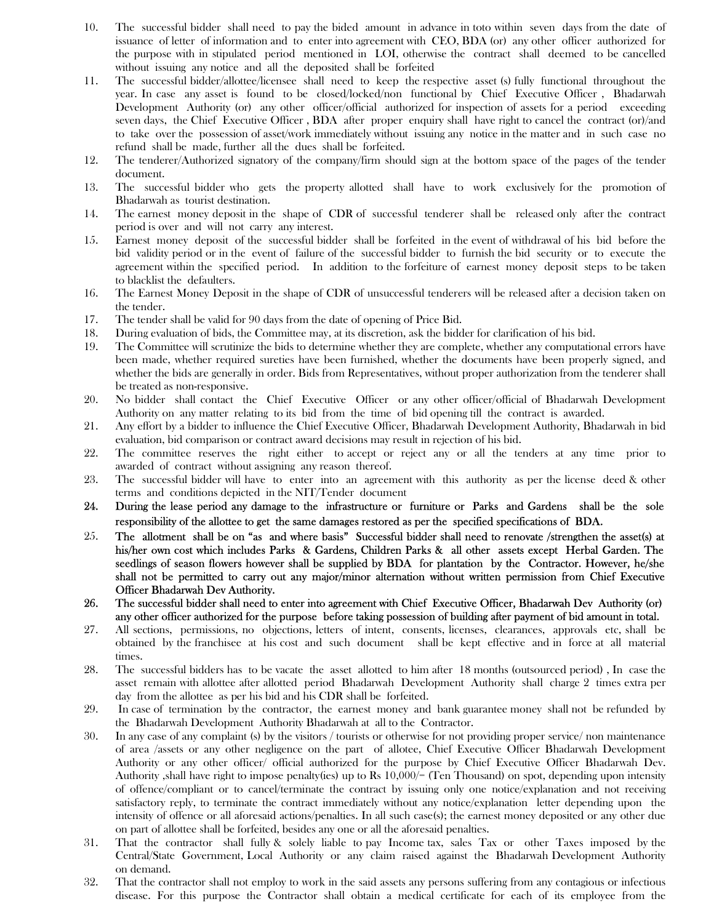- 10. The successful bidder shall need to pay the bided amount in advance in toto within seven days from the date of issuance of letter of information and to enter into agreement with CEO, BDA (or) any other officer authorized for the purpose with in stipulated period mentioned in LOI, otherwise the contract shall deemed to be cancelled without issuing any notice and all the deposited shall be forfeited
- 11. The successful bidder/allottee/licensee shall need to keep the respective asset (s) fully functional throughout the year. In case any asset is found to be closed/locked/non functional by Chief Executive Officer , Bhadarwah Development Authority (or) any other officer/official authorized for inspection of assets for a period exceeding seven days, the Chief Executive Officer , BDA after proper enquiry shall have right to cancel the contract (or)/and to take over the possession of asset/work immediately without issuing any notice in the matter and in such case no refund shall be made, further all the dues shall be forfeited.
- 12. The tenderer/Authorized signatory of the company/firm should sign at the bottom space of the pages of the tender document.
- 13. The successful bidder who gets the property allotted shall have to work exclusively for the promotion of Bhadarwah as tourist destination.
- 14. The earnest money deposit in the shape of CDR of successful tenderer shall be released only after the contract period is over and will not carry any interest.
- 15. Earnest money deposit of the successful bidder shall be forfeited in the event of withdrawal of his bid before the bid validity period or in the event of failure of the successful bidder to furnish the bid security or to execute the agreement within the specified period. In addition to the forfeiture of earnest money deposit steps to be taken to blacklist the defaulters.
- 16. The Earnest Money Deposit in the shape of CDR of unsuccessful tenderers will be released after a decision taken on the tender.
- 17. The tender shall be valid for 90 days from the date of opening of Price Bid.
- 18. During evaluation of bids, the Committee may, at its discretion, ask the bidder for clarification of his bid.
- 19. The Committee will scrutinize the bids to determine whether they are complete, whether any computational errors have been made, whether required sureties have been furnished, whether the documents have been properly signed, and whether the bids are generally in order. Bids from Representatives, without proper authorization from the tenderer shall be treated as non-responsive.
- 20. No bidder shall contact the Chief Executive Officer or any other officer/official of Bhadarwah Development Authority on any matter relating to its bid from the time of bid opening till the contract is awarded.
- 21. Any effort by a bidder to influence the Chief Executive Officer, Bhadarwah Development Authority, Bhadarwah in bid evaluation, bid comparison or contract award decisions may result in rejection of his bid.
- 22. The committee reserves the right either to accept or reject any or all the tenders at any time prior to awarded of contract without assigning any reason thereof.
- 23. The successful bidder will have to enter into an agreement with this authority as per the license deed & other terms and conditions depicted in the NIT/Tender document
- 24. During the lease period any damage to the infrastructure or furniture or Parks and Gardens shall be the sole responsibility of the allottee to get the same damages restored as per the specified specifications of BDA.
- 25. The allotment shall be on "as and where basis" Successful bidder shall need to renovate /strengthen the asset(s) at his/her own cost which includes Parks & Gardens, Children Parks & all other assets except Herbal Garden. The seedlings of season flowers however shall be supplied by BDA for plantation by the Contractor. However, he/she shall not be permitted to carry out any major/minor alternation without written permission from Chief Executive Officer Bhadarwah Dev Authority.
- 26. The successful bidder shall need to enter into agreement with Chief Executive Officer, Bhadarwah Dev Authority (or) any other officer authorized for the purpose before taking possession of building after payment of bid amount in total.
- 27. All sections, permissions, no objections, letters of intent, consents, licenses, clearances, approvals etc, shall be obtained by the franchisee at his cost and such document shall be kept effective and in force at all material times.
- 28. The successful bidders has to be vacate the asset allotted to him after 18 months (outsourced period) , In case the asset remain with allottee after allotted period Bhadarwah Development Authority shall charge 2 times extra per day from the allottee as per his bid and his CDR shall be forfeited.
- 29. In case of termination by the contractor, the earnest money and bank guarantee money shall not be refunded by the Bhadarwah Development Authority Bhadarwah at all to the Contractor.
- 30. In any case of any complaint (s) by the visitors / tourists or otherwise for not providing proper service/ non maintenance of area /assets or any other negligence on the part of allotee, Chief Executive Officer Bhadarwah Development Authority or any other officer/ official authorized for the purpose by Chief Executive Officer Bhadarwah Dev. Authority ,shall have right to impose penalty(ies) up to Rs 10,000/= (Ten Thousand) on spot, depending upon intensity of offence/compliant or to cancel/terminate the contract by issuing only one notice/explanation and not receiving satisfactory reply, to terminate the contract immediately without any notice/explanation letter depending upon the intensity of offence or all aforesaid actions/penalties. In all such case(s); the earnest money deposited or any other due on part of allottee shall be forfeited, besides any one or all the aforesaid penalties.
- 31. That the contractor shall fully & solely liable to pay Income tax, sales Tax or other Taxes imposed by the Central/State Government, Local Authority or any claim raised against the Bhadarwah Development Authority on demand.
- 32. That the contractor shall not employ to work in the said assets any persons suffering from any contagious or infectious disease. For this purpose the Contractor shall obtain a medical certificate for each of its employee from the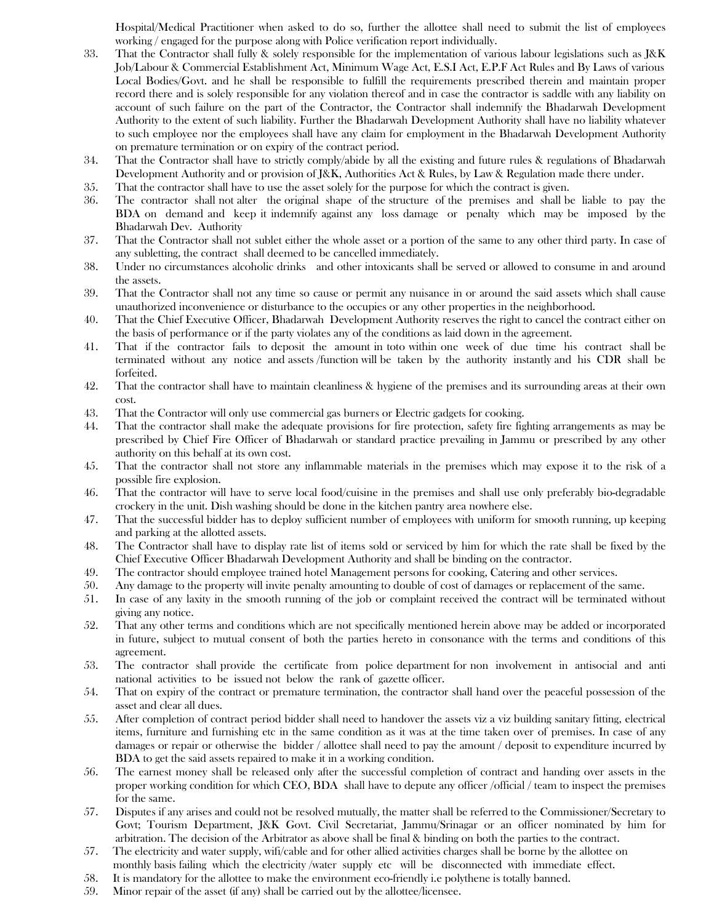Hospital/Medical Practitioner when asked to do so, further the allottee shall need to submit the list of employees working / engaged for the purpose along with Police verification report individually.

- 33. That the Contractor shall fully & solely responsible for the implementation of various labour legislations such as J&K Job/Labour & Commercial Establishment Act, Minimum Wage Act, E.S.I Act, E.P.F Act Rules and By Laws of various Local Bodies/Govt. and he shall be responsible to fulfill the requirements prescribed therein and maintain proper record there and is solely responsible for any violation thereof and in case the contractor is saddle with any liability on account of such failure on the part of the Contractor, the Contractor shall indemnify the Bhadarwah Development Authority to the extent of such liability. Further the Bhadarwah Development Authority shall have no liability whatever to such employee nor the employees shall have any claim for employment in the Bhadarwah Development Authority on premature termination or on expiry of the contract period.
- 34. That the Contractor shall have to strictly comply/abide by all the existing and future rules & regulations of Bhadarwah Development Authority and or provision of J&K, Authorities Act & Rules, by Law & Regulation made there under.
- 35. That the contractor shall have to use the asset solely for the purpose for which the contract is given.
- 36. The contractor shall not alter the original shape of the structure of the premises and shall be liable to pay the BDA on demand and keep it indemnify against any loss damage or penalty which may be imposed by the Bhadarwah Dev. Authority
- 37. That the Contractor shall not sublet either the whole asset or a portion of the same to any other third party. In case of any subletting, the contract shall deemed to be cancelled immediately.
- 38. Under no circumstances alcoholic drinks and other intoxicants shall be served or allowed to consume in and around the assets.
- 39. That the Contractor shall not any time so cause or permit any nuisance in or around the said assets which shall cause unauthorized inconvenience or disturbance to the occupies or any other properties in the neighborhood.
- 40. That the Chief Executive Officer, Bhadarwah Development Authority reserves the right to cancel the contract either on the basis of performance or if the party violates any of the conditions as laid down in the agreement.
- 41. That if the contractor fails to deposit the amount in toto within one week of due time his contract shall be terminated without any notice and assets /function will be taken by the authority instantly and his CDR shall be forfeited.
- 42. That the contractor shall have to maintain cleanliness & hygiene of the premises and its surrounding areas at their own cost.
- 43. That the Contractor will only use commercial gas burners or Electric gadgets for cooking.
- 44. That the contractor shall make the adequate provisions for fire protection, safety fire fighting arrangements as may be prescribed by Chief Fire Officer of Bhadarwah or standard practice prevailing in Jammu or prescribed by any other authority on this behalf at its own cost.
- 45. That the contractor shall not store any inflammable materials in the premises which may expose it to the risk of a possible fire explosion.
- 46. That the contractor will have to serve local food/cuisine in the premises and shall use only preferably bio-degradable crockery in the unit. Dish washing should be done in the kitchen pantry area nowhere else.
- 47. That the successful bidder has to deploy sufficient number of employees with uniform for smooth running, up keeping and parking at the allotted assets.
- 48. The Contractor shall have to display rate list of items sold or serviced by him for which the rate shall be fixed by the Chief Executive Officer Bhadarwah Development Authority and shall be binding on the contractor.
- 49. The contractor should employee trained hotel Management persons for cooking, Catering and other services.
- 50. Any damage to the property will invite penalty amounting to double of cost of damages or replacement of the same.
- 51. In case of any laxity in the smooth running of the job or complaint received the contract will be terminated without giving any notice.
- 52. That any other terms and conditions which are not specifically mentioned herein above may be added or incorporated in future, subject to mutual consent of both the parties hereto in consonance with the terms and conditions of this agreement.
- 53. The contractor shall provide the certificate from police department for non involvement in antisocial and anti national activities to be issued not below the rank of gazette officer.
- 54. That on expiry of the contract or premature termination, the contractor shall hand over the peaceful possession of the asset and clear all dues.
- 55. After completion of contract period bidder shall need to handover the assets viz a viz building sanitary fitting, electrical items, furniture and furnishing etc in the same condition as it was at the time taken over of premises. In case of any damages or repair or otherwise the bidder / allottee shall need to pay the amount / deposit to expenditure incurred by BDA to get the said assets repaired to make it in a working condition.
- 56. The earnest money shall be released only after the successful completion of contract and handing over assets in the proper working condition for which CEO, BDA shall have to depute any officer /official / team to inspect the premises for the same.
- 57. Disputes if any arises and could not be resolved mutually, the matter shall be referred to the Commissioner/Secretary to Govt; Tourism Department, J&K Govt. Civil Secretariat, Jammu/Srinagar or an officer nominated by him for arbitration. The decision of the Arbitrator as above shall be final & binding on both the parties to the contract.
- 57. The electricity and water supply, wifi/cable and for other allied activities charges shall be borne by the allottee on monthly basis failing which the electricity /water supply etc will be disconnected with immediate effect.
- 58. It is mandatory for the allottee to make the environment eco-friendly i.e polythene is totally banned.
- 59. Minor repair of the asset (if any) shall be carried out by the allottee/licensee.